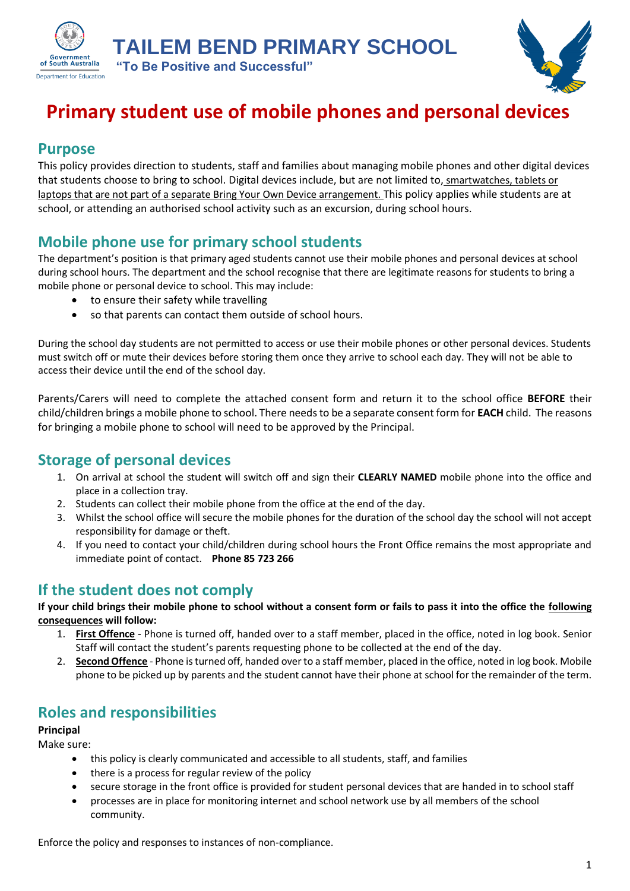**TAILEM BEND PRIMARY SCHOOL**



# **Primary student use of mobile phones and personal devices**

### **Purpose**

**Government** of South Australia **Department for Education** 

This policy provides direction to students, staff and families about managing mobile phones and other digital devices that students choose to bring to school. Digital devices include, but are not limited to, smartwatches, tablets or laptops that are not part of a separate Bring Your Own Device arrangement. This policy applies while students are at school, or attending an authorised school activity such as an excursion, during school hours.

# **Mobile phone use for primary school students**

**"To Be Positive and Successful"**

The department's position is that primary aged students cannot use their mobile phones and personal devices at school during school hours. The department and the school recognise that there are legitimate reasons for students to bring a mobile phone or personal device to school. This may include:

- to ensure their safety while travelling
- so that parents can contact them outside of school hours.

During the school day students are not permitted to access or use their mobile phones or other personal devices. Students must switch off or mute their devices before storing them once they arrive to school each day. They will not be able to access their device until the end of the school day.

Parents/Carers will need to complete the attached consent form and return it to the school office **BEFORE** their child/children brings a mobile phone to school. There needs to be a separate consent form for **EACH** child. The reasons for bringing a mobile phone to school will need to be approved by the Principal.

### **Storage of personal devices**

- 1. On arrival at school the student will switch off and sign their **CLEARLY NAMED** mobile phone into the office and place in a collection tray.
- 2. Students can collect their mobile phone from the office at the end of the day.
- 3. Whilst the school office will secure the mobile phones for the duration of the school day the school will not accept responsibility for damage or theft.
- 4. If you need to contact your child/children during school hours the Front Office remains the most appropriate and immediate point of contact. **Phone 85 723 266**

# **If the student does not comply**

**If your child brings their mobile phone to school without a consent form or fails to pass it into the office the following consequences will follow:**

- 1. **First Offence** Phone is turned off, handed over to a staff member, placed in the office, noted in log book. Senior Staff will contact the student's parents requesting phone to be collected at the end of the day.
- 2. **Second Offence** Phone is turned off, handed over to a staff member, placed in the office, noted in log book. Mobile phone to be picked up by parents and the student cannot have their phone at school for the remainder of the term.

# **Roles and responsibilities**

#### **Principal**

Make sure:

- this policy is clearly communicated and accessible to all students, staff, and families
- there is a process for regular review of the policy
- secure storage in the front office is provided for student personal devices that are handed in to school staff
- processes are in place for monitoring internet and school network use by all members of the school community.

Enforce the policy and responses to instances of non-compliance.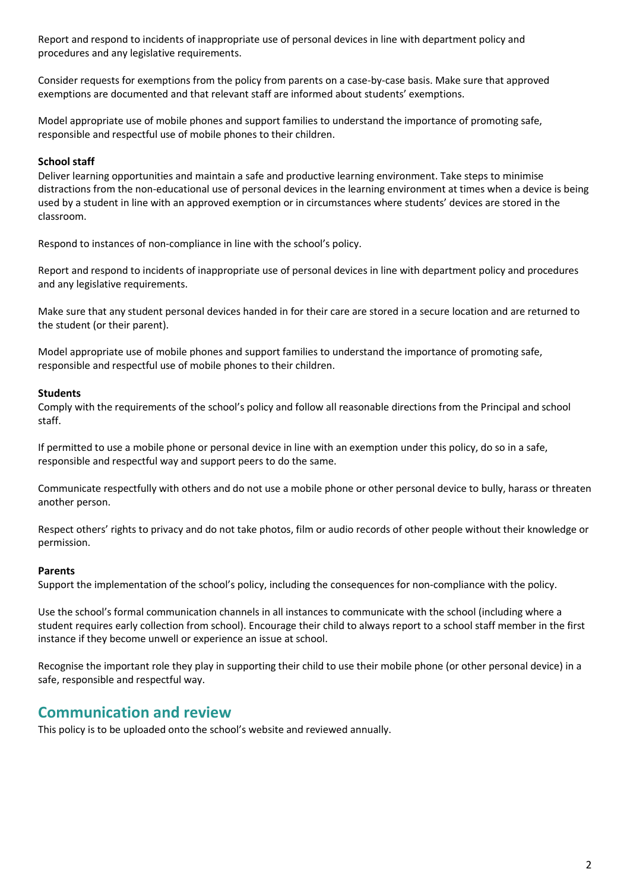Report and respond to incidents of inappropriate use of personal devices in line with department policy and procedures and any legislative requirements.

Consider requests for exemptions from the policy from parents on a case-by-case basis. Make sure that approved exemptions are documented and that relevant staff are informed about students' exemptions.

Model appropriate use of mobile phones and support families to understand the importance of promoting safe, responsible and respectful use of mobile phones to their children.

#### **School staff**

Deliver learning opportunities and maintain a safe and productive learning environment. Take steps to minimise distractions from the non-educational use of personal devices in the learning environment at times when a device is being used by a student in line with an approved exemption or in circumstances where students' devices are stored in the classroom.

Respond to instances of non-compliance in line with the school's policy.

Report and respond to incidents of inappropriate use of personal devices in line with department policy and procedures and any legislative requirements.

Make sure that any student personal devices handed in for their care are stored in a secure location and are returned to the student (or their parent).

Model appropriate use of mobile phones and support families to understand the importance of promoting safe, responsible and respectful use of mobile phones to their children.

#### **Students**

Comply with the requirements of the school's policy and follow all reasonable directions from the Principal and school staff.

If permitted to use a mobile phone or personal device in line with an exemption under this policy, do so in a safe, responsible and respectful way and support peers to do the same.

Communicate respectfully with others and do not use a mobile phone or other personal device to bully, harass or threaten another person.

Respect others' rights to privacy and do not take photos, film or audio records of other people without their knowledge or permission.

#### **Parents**

Support the implementation of the school's policy, including the consequences for non-compliance with the policy.

Use the school's formal communication channels in all instances to communicate with the school (including where a student requires early collection from school). Encourage their child to always report to a school staff member in the first instance if they become unwell or experience an issue at school.

Recognise the important role they play in supporting their child to use their mobile phone (or other personal device) in a safe, responsible and respectful way.

### **Communication and review**

This policy is to be uploaded onto the school's website and reviewed annually.